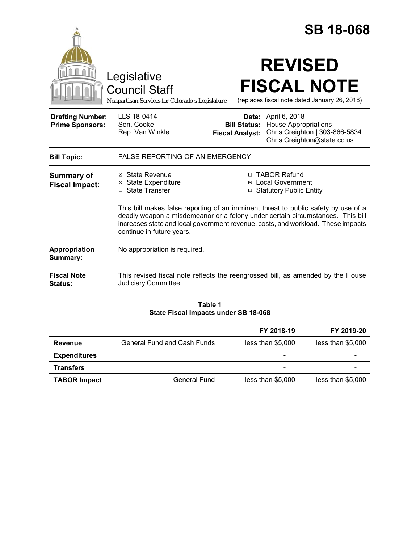|                                                   |                                                                                                                                                                                                                                                                                       |                                 | <b>SB 18-068</b>                                                                                                           |  |
|---------------------------------------------------|---------------------------------------------------------------------------------------------------------------------------------------------------------------------------------------------------------------------------------------------------------------------------------------|---------------------------------|----------------------------------------------------------------------------------------------------------------------------|--|
|                                                   | Legislative<br><b>Council Staff</b><br>Nonpartisan Services for Colorado's Legislature                                                                                                                                                                                                |                                 | <b>REVISED</b><br><b>FISCAL NOTE</b><br>(replaces fiscal note dated January 26, 2018)                                      |  |
| <b>Drafting Number:</b><br><b>Prime Sponsors:</b> | LLS 18-0414<br>Sen. Cooke<br>Rep. Van Winkle                                                                                                                                                                                                                                          | Date:<br><b>Fiscal Analyst:</b> | April 6, 2018<br><b>Bill Status:</b> House Appropriations<br>Chris Creighton   303-866-5834<br>Chris.Creighton@state.co.us |  |
| <b>Bill Topic:</b>                                | <b>FALSE REPORTING OF AN EMERGENCY</b>                                                                                                                                                                                                                                                |                                 |                                                                                                                            |  |
| <b>Summary of</b><br><b>Fiscal Impact:</b>        | ⊠ State Revenue<br><b>⊠ State Expenditure</b><br>□ State Transfer                                                                                                                                                                                                                     |                                 | □ TABOR Refund<br>⊠ Local Government<br>□ Statutory Public Entity                                                          |  |
|                                                   | This bill makes false reporting of an imminent threat to public safety by use of a<br>deadly weapon a misdemeanor or a felony under certain circumstances. This bill<br>increases state and local government revenue, costs, and workload. These impacts<br>continue in future years. |                                 |                                                                                                                            |  |
| Appropriation<br>Summary:                         | No appropriation is required.                                                                                                                                                                                                                                                         |                                 |                                                                                                                            |  |
| <b>Fiscal Note</b><br>Status:                     | Judiciary Committee.                                                                                                                                                                                                                                                                  |                                 | This revised fiscal note reflects the reengrossed bill, as amended by the House                                            |  |

## **Table 1 State Fiscal Impacts under SB 18-068**

|                     |                             | FY 2018-19               | FY 2019-20        |
|---------------------|-----------------------------|--------------------------|-------------------|
| <b>Revenue</b>      | General Fund and Cash Funds | less than \$5,000        | less than \$5,000 |
| <b>Expenditures</b> |                             | $\overline{\phantom{0}}$ |                   |
| <b>Transfers</b>    |                             | -                        |                   |
| <b>TABOR Impact</b> | <b>General Fund</b>         | less than \$5,000        | less than \$5,000 |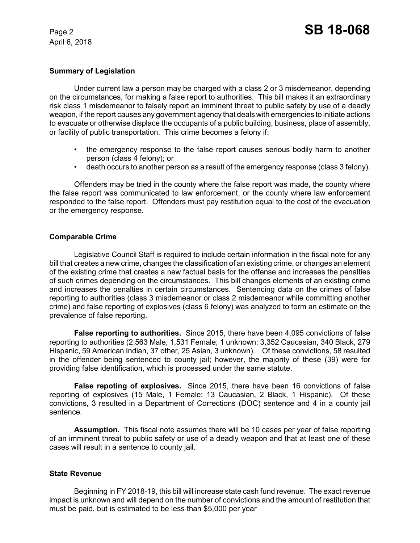## **Summary of Legislation**

Under current law a person may be charged with a class 2 or 3 misdemeanor, depending on the circumstances, for making a false report to authorities. This bill makes it an extraordinary risk class 1 misdemeanor to falsely report an imminent threat to public safety by use of a deadly weapon, if the report causes any government agency that deals with emergencies to initiate actions to evacuate or otherwise displace the occupants of a public building, business, place of assembly, or facility of public transportation. This crime becomes a felony if:

- the emergency response to the false report causes serious bodily harm to another person (class 4 felony); or
- death occurs to another person as a result of the emergency response (class 3 felony).

Offenders may be tried in the county where the false report was made, the county where the false report was communicated to law enforcement, or the county where law enforcement responded to the false report. Offenders must pay restitution equal to the cost of the evacuation or the emergency response.

## **Comparable Crime**

Legislative Council Staff is required to include certain information in the fiscal note for any bill that creates a new crime, changes the classification of an existing crime, or changes an element of the existing crime that creates a new factual basis for the offense and increases the penalties of such crimes depending on the circumstances. This bill changes elements of an existing crime and increases the penalties in certain circumstances. Sentencing data on the crimes of false reporting to authorities (class 3 misdemeanor or class 2 misdemeanor while committing another crime) and false reporting of explosives (class 6 felony) was analyzed to form an estimate on the prevalence of false reporting.

**False reporting to authorities.** Since 2015, there have been 4,095 convictions of false reporting to authorities (2,563 Male, 1,531 Female; 1 unknown; 3,352 Caucasian, 340 Black, 279 Hispanic, 59 American Indian, 37 other, 25 Asian, 3 unknown). Of these convictions, 58 resulted in the offender being sentenced to county jail; however, the majority of these (39) were for providing false identification, which is processed under the same statute.

**False repoting of explosives.** Since 2015, there have been 16 convictions of false reporting of explosives (15 Male, 1 Female; 13 Caucasian, 2 Black, 1 Hispanic). Of these convictions, 3 resulted in a Department of Corrections (DOC) sentence and 4 in a county jail sentence.

**Assumption.** This fiscal note assumes there will be 10 cases per year of false reporting of an imminent threat to public safety or use of a deadly weapon and that at least one of these cases will result in a sentence to county jail.

# **State Revenue**

Beginning in FY 2018-19, this bill will increase state cash fund revenue. The exact revenue impact is unknown and will depend on the number of convictions and the amount of restitution that must be paid, but is estimated to be less than \$5,000 per year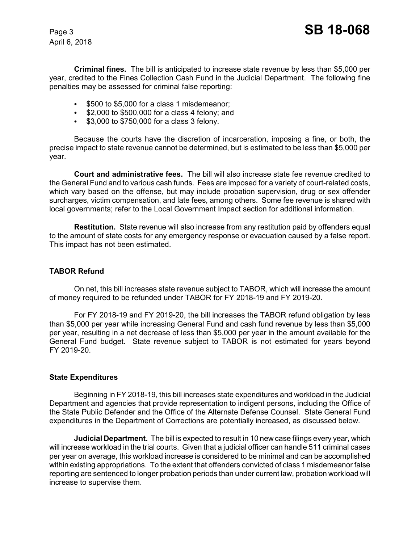**Criminal fines.** The bill is anticipated to increase state revenue by less than \$5,000 per year, credited to the Fines Collection Cash Fund in the Judicial Department. The following fine penalties may be assessed for criminal false reporting:

- $\cdot$  \$500 to \$5,000 for a class 1 misdemeanor;
- $\bullet$  \$2,000 to \$500,000 for a class 4 felony; and
- $\cdot$  \$3,000 to \$750,000 for a class 3 felony.

Because the courts have the discretion of incarceration, imposing a fine, or both, the precise impact to state revenue cannot be determined, but is estimated to be less than \$5,000 per year.

**Court and administrative fees.** The bill will also increase state fee revenue credited to the General Fund and to various cash funds. Fees are imposed for a variety of court-related costs, which vary based on the offense, but may include probation supervision, drug or sex offender surcharges, victim compensation, and late fees, among others. Some fee revenue is shared with local governments; refer to the Local Government Impact section for additional information.

**Restitution.** State revenue will also increase from any restitution paid by offenders equal to the amount of state costs for any emergency response or evacuation caused by a false report. This impact has not been estimated.

# **TABOR Refund**

On net, this bill increases state revenue subject to TABOR, which will increase the amount of money required to be refunded under TABOR for FY 2018-19 and FY 2019-20.

For FY 2018-19 and FY 2019-20, the bill increases the TABOR refund obligation by less than \$5,000 per year while increasing General Fund and cash fund revenue by less than \$5,000 per year, resulting in a net decrease of less than \$5,000 per year in the amount available for the General Fund budget. State revenue subject to TABOR is not estimated for years beyond FY 2019-20.

### **State Expenditures**

Beginning in FY 2018-19, this bill increases state expenditures and workload in the Judicial Department and agencies that provide representation to indigent persons, including the Office of the State Public Defender and the Office of the Alternate Defense Counsel. State General Fund expenditures in the Department of Corrections are potentially increased, as discussed below.

**Judicial Department.** The bill is expected to result in 10 new case filings every year, which will increase workload in the trial courts. Given that a judicial officer can handle 511 criminal cases per year on average, this workload increase is considered to be minimal and can be accomplished within existing appropriations. To the extent that offenders convicted of class 1 misdemeanor false reporting are sentenced to longer probation periods than under current law, probation workload will increase to supervise them.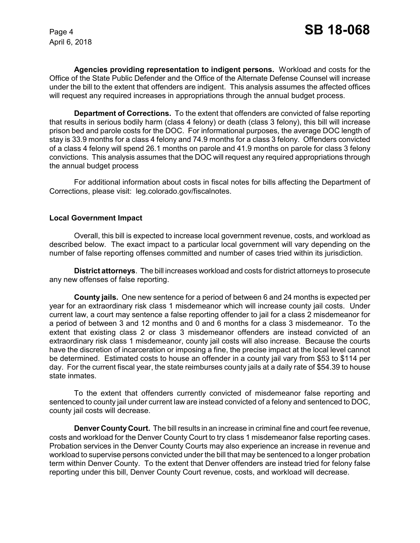**Agencies providing representation to indigent persons.** Workload and costs for the Office of the State Public Defender and the Office of the Alternate Defense Counsel will increase under the bill to the extent that offenders are indigent. This analysis assumes the affected offices will request any required increases in appropriations through the annual budget process.

**Department of Corrections.** To the extent that offenders are convicted of false reporting that results in serious bodily harm (class 4 felony) or death (class 3 felony), this bill will increase prison bed and parole costs for the DOC. For informational purposes, the average DOC length of stay is 33.9 months for a class 4 felony and 74.9 months for a class 3 felony. Offenders convicted of a class 4 felony will spend 26.1 months on parole and 41.9 months on parole for class 3 felony convictions. This analysis assumes that the DOC will request any required appropriations through the annual budget process

For additional information about costs in fiscal notes for bills affecting the Department of Corrections, please visit: leg.colorado.gov/fiscalnotes.

### **Local Government Impact**

Overall, this bill is expected to increase local government revenue, costs, and workload as described below. The exact impact to a particular local government will vary depending on the number of false reporting offenses committed and number of cases tried within its jurisdiction.

**District attorneys**. The bill increases workload and costs for district attorneys to prosecute any new offenses of false reporting.

**County jails.** One new sentence for a period of between 6 and 24 months is expected per year for an extraordinary risk class 1 misdemeanor which will increase county jail costs. Under current law, a court may sentence a false reporting offender to jail for a class 2 misdemeanor for a period of between 3 and 12 months and 0 and 6 months for a class 3 misdemeanor. To the extent that existing class 2 or class 3 misdemeanor offenders are instead convicted of an extraordinary risk class 1 misdemeanor, county jail costs will also increase. Because the courts have the discretion of incarceration or imposing a fine, the precise impact at the local level cannot be determined. Estimated costs to house an offender in a county jail vary from \$53 to \$114 per day. For the current fiscal year, the state reimburses county jails at a daily rate of \$54.39 to house state inmates.

To the extent that offenders currently convicted of misdemeanor false reporting and sentenced to county jail under current law are instead convicted of a felony and sentenced to DOC, county jail costs will decrease.

**Denver County Court.** The bill results in an increase in criminal fine and court fee revenue, costs and workload for the Denver County Court to try class 1 misdemeanor false reporting cases. Probation services in the Denver County Courts may also experience an increase in revenue and workload to supervise persons convicted under the bill that may be sentenced to a longer probation term within Denver County. To the extent that Denver offenders are instead tried for felony false reporting under this bill, Denver County Court revenue, costs, and workload will decrease.